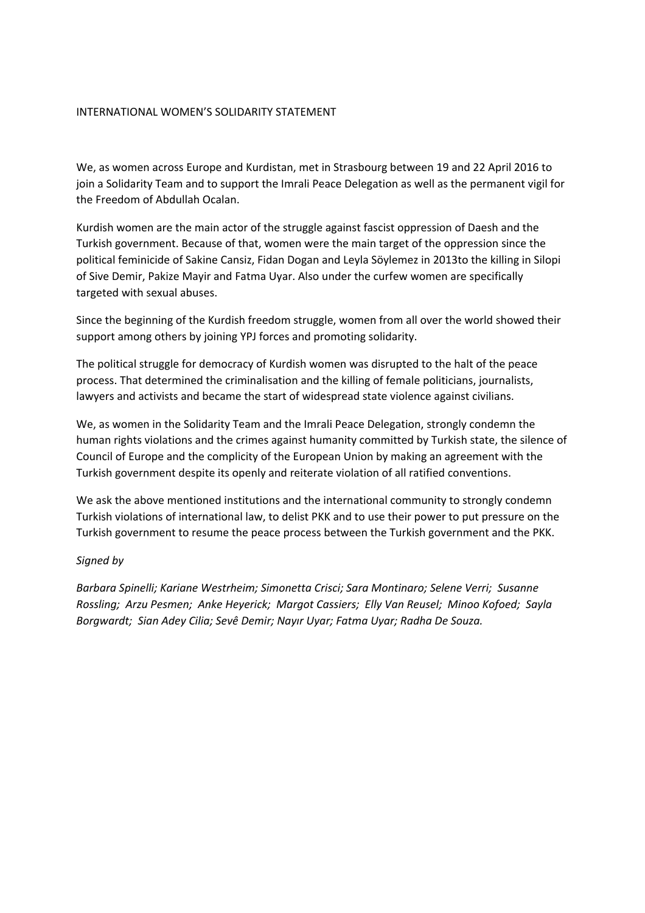## INTERNATIONAL WOMEN'S SOLIDARITY STATEMENT

We, as women across Europe and Kurdistan, met in Strasbourg between 19 and 22 April 2016 to join a Solidarity Team and to support the Imrali Peace Delegation as well as the permanent vigil for the Freedom of Abdullah Ocalan.

Kurdish women are the main actor of the struggle against fascist oppression of Daesh and the Turkish government. Because of that, women were the main target of the oppression since the political feminicide of Sakine Cansiz, Fidan Dogan and Leyla Söylemez in 2013to the killing in Silopi of Sive Demir, Pakize Mayir and Fatma Uyar. Also under the curfew women are specifically targeted with sexual abuses.

Since the beginning of the Kurdish freedom struggle, women from all over the world showed their support among others by joining YPJ forces and promoting solidarity.

The political struggle for democracy of Kurdish women was disrupted to the halt of the peace process. That determined the criminalisation and the killing of female politicians, journalists, lawyers and activists and became the start of widespread state violence against civilians.

We, as women in the Solidarity Team and the Imrali Peace Delegation, strongly condemn the human rights violations and the crimes against humanity committed by Turkish state, the silence of Council of Europe and the complicity of the European Union by making an agreement with the Turkish government despite its openly and reiterate violation of all ratified conventions.

We ask the above mentioned institutions and the international community to strongly condemn Turkish violations of international law, to delist PKK and to use their power to put pressure on the Turkish government to resume the peace process between the Turkish government and the PKK.

## *Signed by*

*Barbara Spinelli; Kariane Westrheim; Simonetta Crisci; Sara Montinaro; Selene Verri; Susanne Rossling; Arzu Pesmen; Anke Heyerick; Margot Cassiers; Elly Van Reusel; Minoo Kofoed; Sayla Borgwardt; Sian Adey Cilia; Sevê Demir; Nayır Uyar; Fatma Uyar; Radha De Souza.*